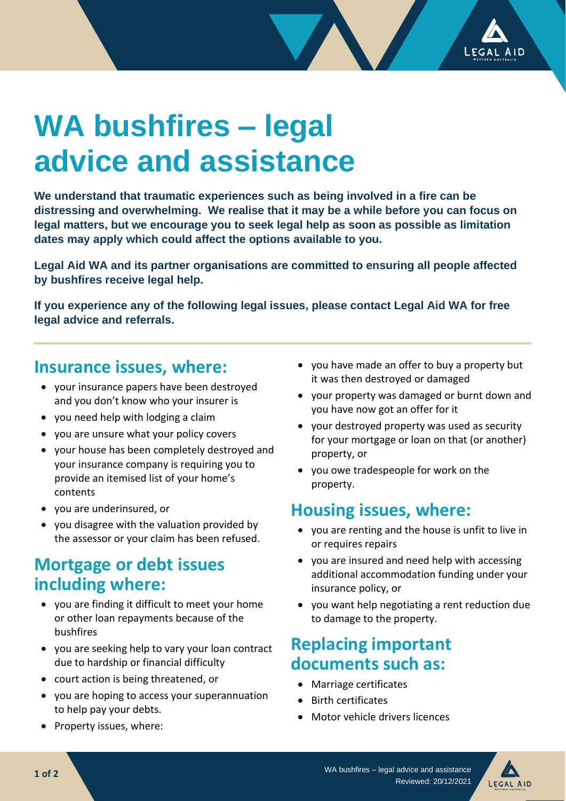

# **WA bushfires – legal advice and assistance**

**We understand that traumatic experiences such as being involved in a fire can be distressing and overwhelming. We realise that it may be a while before you can focus on legal matters, but we encourage you to seek legal help as soon as possible as limitation dates may apply which could affect the options available to you.**

**Legal Aid WA and its partner organisations are committed to ensuring all people affected by bushfires receive legal help.** 

**If you experience any of the following legal issues, please contact Legal Aid WA for free legal advice and referrals.**

## **Insurance issues, where:**

- your insurance papers have been destroyed and you don't know who your insurer is
- you need help with lodging a claim
- you are unsure what your policy covers
- your house has been completely destroyed and your insurance company is requiring you to provide an itemised list of your home's contents
- you are underinsured, or
- you disagree with the valuation provided by the assessor or your claim has been refused.

## **Mortgage or debt issues including where:**

- you are finding it difficult to meet your home or other loan repayments because of the bushfires
- you are seeking help to vary your loan contract due to hardship or financial difficulty
- court action is being threatened, or
- you are hoping to access your superannuation to help pay your debts.
- Property issues, where:
- you have made an offer to buy a property but it was then destroyed or damaged
- your property was damaged or burnt down and you have now got an offer for it
- your destroyed property was used as security for your mortgage or loan on that (or another) property, or
- you owe tradespeople for work on the property.

## **Housing issues, where:**

- you are renting and the house is unfit to live in or requires repairs
- you are insured and need help with accessing additional accommodation funding under your insurance policy, or
- you want help negotiating a rent reduction due to damage to the property.

## **Replacing important documents such as:**

- Marriage certificates
- Birth certificates
- Motor vehicle drivers licences